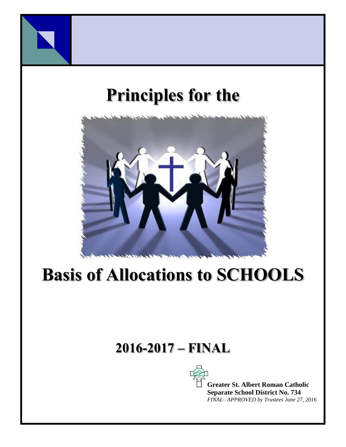

# **Principles for the**



# **Basis of Allocations to SCHOOLS**

# **2016-2017 – FINAL**



**Greater St. Albert Roman Catholic Separate School District No. 734** *FINAL– APPROVED by Trustees June 27, 2016*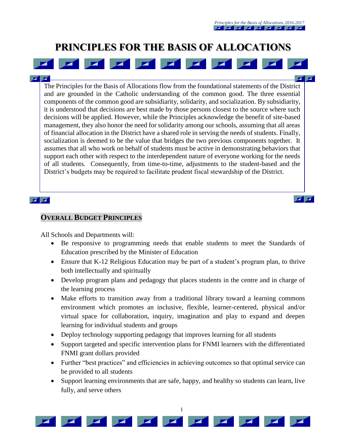$\overline{\mathbf{z}}$ 

 $\mathbf{Z}$ 

# **PRINCIPLES FOR THE BASIS OF ALLOCATIONS**

 $\mathbf{z}$ **FC** The Principles for the Basis of Allocations flow from the foundational statements of the District and are grounded in the Catholic understanding of the common good. The three essential components of the common good are subsidiarity, solidarity, and socialization. By subsidiarity, it is understood that decisions are best made by those persons closest to the source where such decisions will be applied. However, while the Principles acknowledge the benefit of site-based management, they also honor the need for solidarity among our schools, assuming that all areas of financial allocation in the District have a shared role in serving the needs of students. Finally, socialization is deemed to be the value that bridges the two previous components together. It assumes that all who work on behalf of students must be active in demonstrating behaviors that support each other with respect to the interdependent nature of everyone working for the needs of all students. Consequently, from time-to-time, adjustments to the student-based and the District's budgets may be required to facilitate prudent fiscal stewardship of the District.

#### $\mathbf{z}$   $\mathbf{z}$

#### **OVERALL BUDGET PRINCIPLES**

 $\blacksquare$ 

All Schools and Departments will:

- Be responsive to programming needs that enable students to meet the Standards of Education prescribed by the Minister of Education
- Ensure that K-12 Religious Education may be part of a student's program plan, to thrive both intellectually and spiritually
- Develop program plans and pedagogy that places students in the centre and in charge of the learning process
- Make efforts to transition away from a traditional library toward a learning commons environment which promotes an inclusive, flexible, learner-centered, physical and/or virtual space for collaboration, inquiry, imagination and play to expand and deepen learning for individual students and groups
- Deploy technology supporting pedagogy that improves learning for all students
- Support targeted and specific intervention plans for FNMI learners with the differentiated FNMI grant dollars provided
- Further "best practices" and efficiencies in achieving outcomes so that optimal service can be provided to all students
- Support learning environments that are safe, happy, and healthy so students can learn, live fully, and serve others

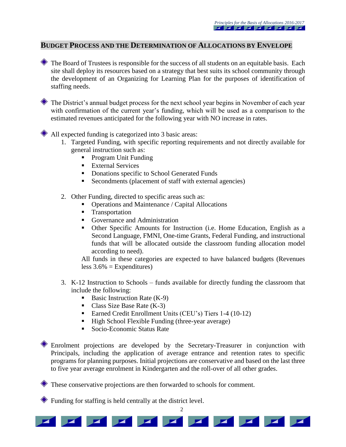#### **BUDGET PROCESS AND THE DETERMINATION OF ALLOCATIONS BY ENVELOPE**

The Board of Trustees is responsible for the success of all students on an equitable basis. Each site shall deploy its resources based on a strategy that best suits its school community through the development of an Organizing for Learning Plan for the purposes of identification of staffing needs.

 $\blacksquare$ 

The District's annual budget process for the next school year begins in November of each year with confirmation of the current year's funding, which will be used as a comparison to the estimated revenues anticipated for the following year with NO increase in rates.

All expected funding is categorized into 3 basic areas:

- 1. Targeted Funding, with specific reporting requirements and not directly available for general instruction such as:
	- Program Unit Funding
	- **External Services**
	- Donations specific to School Generated Funds
	- Secondments (placement of staff with external agencies)
- 2. Other Funding, directed to specific areas such as:
	- Operations and Maintenance / Capital Allocations
	- **Transportation**
	- Governance and Administration
	- Other Specific Amounts for Instruction (i.e. Home Education, English as a Second Language, FMNI, One-time Grants, Federal Funding, and instructional funds that will be allocated outside the classroom funding allocation model according to need).

All funds in these categories are expected to have balanced budgets (Revenues less  $3.6\%$  = Expenditures)

- 3. K-12 Instruction to Schools funds available for directly funding the classroom that include the following:
	- Basic Instruction Rate  $(K-9)$
	- Class Size Base Rate  $(K-3)$
	- Earned Credit Enrollment Units (CEU's) Tiers 1-4 (10-12)
	- High School Flexible Funding (three-year average)
	- Socio-Economic Status Rate

Enrolment projections are developed by the Secretary-Treasurer in conjunction with Principals, including the application of average entrance and retention rates to specific programs for planning purposes. Initial projections are conservative and based on the last three to five year average enrolment in Kindergarten and the roll-over of all other grades.

 $\overline{2}$ 

 $\mathbf{Z}$ 

 $\sqrt{2}$ 

 $\mathbf{Z}$ 

 $\mathbf{Z}$ 

These conservative projections are then forwarded to schools for comment.

Funding for staffing is held centrally at the district level.

**EXECUTE 1999**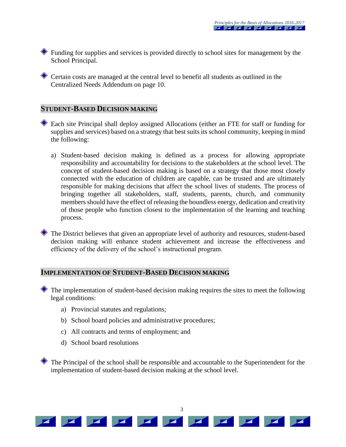Funding for supplies and services is provided directly to school sites for management by the School Principal.

Certain costs are managed at the central level to benefit all students as outlined in the Centralized Needs Addendum on page 10.

#### **STUDENT-BASED DECISION MAKING**

- Each site Principal shall deploy assigned Allocations (either an FTE for staff or funding for supplies and services) based on a strategy that best suits its school community, keeping in mind the following:
	- a) Student-based decision making is defined as a process for allowing appropriate responsibility and accountability for decisions to the stakeholders at the school level. The concept of student-based decision making is based on a strategy that those most closely connected with the education of children are capable, can be trusted and are ultimately responsible for making decisions that affect the school lives of students. The process of bringing together all stakeholders, staff, students, parents, church, and community members should have the effect of releasing the boundless energy, dedication and creativity of those people who function closest to the implementation of the learning and teaching process.
- The District believes that given an appropriate level of authority and resources, student-based decision making will enhance student achievement and increase the effectiveness and efficiency of the delivery of the school's instructional program.

### **IMPLEMENTATION OF STUDENT-BASED DECISION MAKING**

The implementation of student-based decision making requires the sites to meet the following legal conditions:

- a) Provincial statutes and regulations;
- b) School board policies and administrative procedures;
- c) All contracts and terms of employment; and
- d) School board resolutions

The Principal of the school shall be responsible and accountable to the Superintendent for the implementation of student-based decision making at the school level.

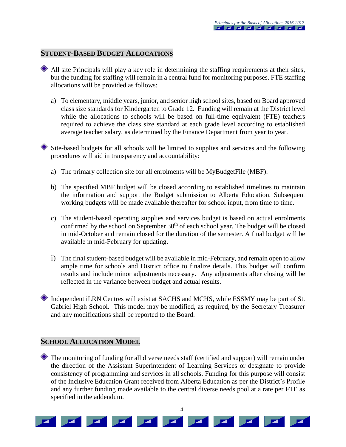### **STUDENT-BASED BUDGET ALLOCATIONS**

- All site Principals will play a key role in determining the staffing requirements at their sites, but the funding for staffing will remain in a central fund for monitoring purposes. FTE staffing allocations will be provided as follows:
	- a) To elementary, middle years, junior, and senior high school sites, based on Board approved class size standards for Kindergarten to Grade 12. Funding will remain at the District level while the allocations to schools will be based on full-time equivalent (FTE) teachers required to achieve the class size standard at each grade level according to established average teacher salary, as determined by the Finance Department from year to year.

Site-based budgets for all schools will be limited to supplies and services and the following procedures will aid in transparency and accountability:

- a) The primary collection site for all enrolments will be MyBudgetFile (MBF).
- b) The specified MBF budget will be closed according to established timelines to maintain the information and support the Budget submission to Alberta Education. Subsequent working budgets will be made available thereafter for school input, from time to time.
- c) The student-based operating supplies and services budget is based on actual enrolments confirmed by the school on September  $30<sup>th</sup>$  of each school year. The budget will be closed in mid-October and remain closed for the duration of the semester. A final budget will be available in mid-February for updating.
- i) The final student-based budget will be available in mid-February, and remain open to allow ample time for schools and District office to finalize details. This budget will confirm results and include minor adjustments necessary. Any adjustments after closing will be reflected in the variance between budget and actual results.
- Independent iLRN Centres will exist at SACHS and MCHS, while ESSMY may be part of St. Gabriel High School. This model may be modified, as required, by the Secretary Treasurer and any modifications shall be reported to the Board.

### **SCHOOL ALLOCATION MODEL**

The monitoring of funding for all diverse needs staff (certified and support) will remain under the direction of the Assistant Superintendent of Learning Services or designate to provide consistency of programming and services in all schools. Funding for this purpose will consist of the Inclusive Education Grant received from Alberta Education as per the District's Profile and any further funding made available to the central diverse needs pool at a rate per FTE as specified in the addendum.

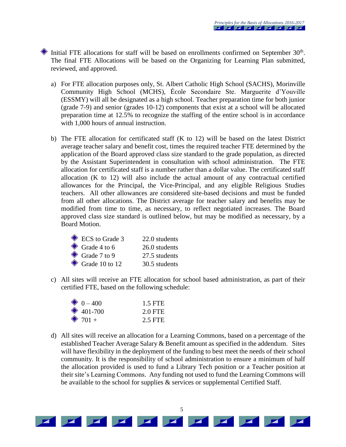Initial FTE allocations for staff will be based on enrollments confirmed on September 30<sup>th</sup>. The final FTE Allocations will be based on the Organizing for Learning Plan submitted, reviewed, and approved.

- a) For FTE allocation purposes only, St. Albert Catholic High School (SACHS), Morinville Community High School (MCHS), École Secondaire Ste. Marguerite d'Youville (ESSMY) will all be designated as a high school. Teacher preparation time for both junior (grade 7-9) and senior (grades 10-12) components that exist at a school will be allocated preparation time at 12.5% to recognize the staffing of the entire school is in accordance with 1,000 hours of annual instruction.
- b) The FTE allocation for certificated staff (K to 12) will be based on the latest District average teacher salary and benefit cost, times the required teacher FTE determined by the application of the Board approved class size standard to the grade population, as directed by the Assistant Superintendent in consultation with school administration. The FTE allocation for certificated staff is a number rather than a dollar value. The certificated staff allocation (K to 12) will also include the actual amount of any contractual certified allowances for the Principal, the Vice-Principal, and any eligible Religious Studies teachers. All other allowances are considered site-based decisions and must be funded from all other allocations. The District average for teacher salary and benefits may be modified from time to time, as necessary, to reflect negotiated increases. The Board approved class size standard is outlined below, but may be modified as necessary, by a Board Motion.

| ECS to Grade 3           | 22.0 students |
|--------------------------|---------------|
| $\bullet$ Grade 4 to 6   | 26.0 students |
| $\bullet$ Grade 7 to 9   | 27.5 students |
| $\bullet$ Grade 10 to 12 | 30.5 students |

c) All sites will receive an FTE allocation for school based administration, as part of their certified FTE, based on the following schedule:

| $\bullet$ 0 – 400 | 1.5 FTE |
|-------------------|---------|
| $\bullet$ 401-700 | 2.0 FTE |
| $\bullet$ 701 +   | 2.5 FTE |

d) All sites will receive an allocation for a Learning Commons, based on a percentage of the established Teacher Average Salary & Benefit amount as specified in the addendum. Sites will have flexibility in the deployment of the funding to best meet the needs of their school community. It is the responsibility of school administration to ensure a minimum of half the allocation provided is used to fund a Library Tech position or a Teacher position at their site's Learning Commons. Any funding not used to fund the Learning Commons will be available to the school for supplies  $\&$  services or supplemental Certified Staff.

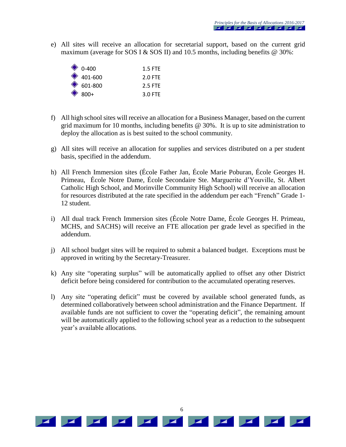e) All sites will receive an allocation for secretarial support, based on the current grid maximum (average for SOS I & SOS II) and 10.5 months, including benefits  $\omega$  30%:

| $\bullet$ 0-400   | $1.5$ FTF |
|-------------------|-----------|
| $\bullet$ 401-600 | $2.0$ FTF |
| $\bullet$ 601-800 | 2.5 FTF   |
| $\bullet$ 800+    | $3.0$ FTF |

- f) All high school sites will receive an allocation for a Business Manager, based on the current grid maximum for 10 months, including benefits @ 30%. It is up to site administration to deploy the allocation as is best suited to the school community.
- g) All sites will receive an allocation for supplies and services distributed on a per student basis, specified in the addendum.
- h) All French Immersion sites (École Father Jan, École Marie Poburan, École Georges H. Primeau, École Notre Dame, École Secondaire Ste. Marguerite d'Youville, St. Albert Catholic High School, and Morinville Community High School) will receive an allocation for resources distributed at the rate specified in the addendum per each "French" Grade 1- 12 student.
- i) All dual track French Immersion sites (École Notre Dame, École Georges H. Primeau, MCHS, and SACHS) will receive an FTE allocation per grade level as specified in the addendum.
- j) All school budget sites will be required to submit a balanced budget. Exceptions must be approved in writing by the Secretary-Treasurer.
- k) Any site "operating surplus" will be automatically applied to offset any other District deficit before being considered for contribution to the accumulated operating reserves.
- l) Any site "operating deficit" must be covered by available school generated funds, as determined collaboratively between school administration and the Finance Department. If available funds are not sufficient to cover the "operating deficit", the remaining amount will be automatically applied to the following school year as a reduction to the subsequent year's available allocations.

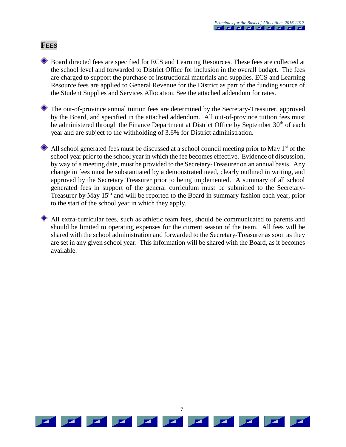#### **FEES**

Board directed fees are specified for ECS and Learning Resources. These fees are collected at the school level and forwarded to District Office for inclusion in the overall budget. The fees are charged to support the purchase of instructional materials and supplies. ECS and Learning Resource fees are applied to General Revenue for the District as part of the funding source of the Student Supplies and Services Allocation. See the attached addendum for rates.

The out-of-province annual tuition fees are determined by the Secretary-Treasurer, approved by the Board, and specified in the attached addendum. All out-of-province tuition fees must be administered through the Finance Department at District Office by September 30<sup>th</sup> of each year and are subject to the withholding of 3.6% for District administration.

All school generated fees must be discussed at a school council meeting prior to May 1<sup>st</sup> of the school year prior to the school year in which the fee becomes effective. Evidence of discussion, by way of a meeting date, must be provided to the Secretary-Treasurer on an annual basis. Any change in fees must be substantiated by a demonstrated need, clearly outlined in writing, and approved by the Secretary Treasurer prior to being implemented. A summary of all school generated fees in support of the general curriculum must be submitted to the Secretary-Treasurer by May 15<sup>th</sup> and will be reported to the Board in summary fashion each year, prior to the start of the school year in which they apply.

All extra-curricular fees, such as athletic team fees, should be communicated to parents and should be limited to operating expenses for the current season of the team. All fees will be shared with the school administration and forwarded to the Secretary-Treasurer as soon as they are set in any given school year. This information will be shared with the Board, as it becomes available.

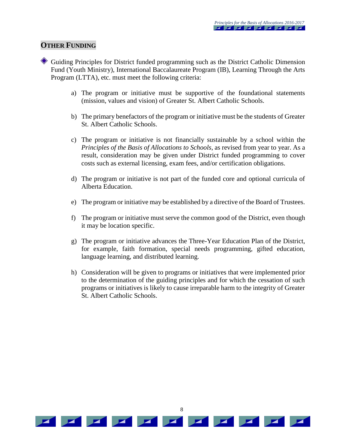#### **OTHER FUNDING**

- Guiding Principles for District funded programming such as the District Catholic Dimension Fund (Youth Ministry), International Baccalaureate Program (IB), Learning Through the Arts Program (LTTA), etc. must meet the following criteria:
	- a) The program or initiative must be supportive of the foundational statements (mission, values and vision) of Greater St. Albert Catholic Schools.
	- b) The primary benefactors of the program or initiative must be the students of Greater St. Albert Catholic Schools.
	- c) The program or initiative is not financially sustainable by a school within the *Principles of the Basis of Allocations to Schools*, as revised from year to year. As a result, consideration may be given under District funded programming to cover costs such as external licensing, exam fees, and/or certification obligations.
	- d) The program or initiative is not part of the funded core and optional curricula of Alberta Education.
	- e) The program or initiative may be established by a directive of the Board of Trustees.
	- f) The program or initiative must serve the common good of the District, even though it may be location specific.
	- g) The program or initiative advances the Three-Year Education Plan of the District, for example, faith formation, special needs programming, gifted education, language learning, and distributed learning.
	- h) Consideration will be given to programs or initiatives that were implemented prior to the determination of the guiding principles and for which the cessation of such programs or initiatives is likely to cause irreparable harm to the integrity of Greater St. Albert Catholic Schools.

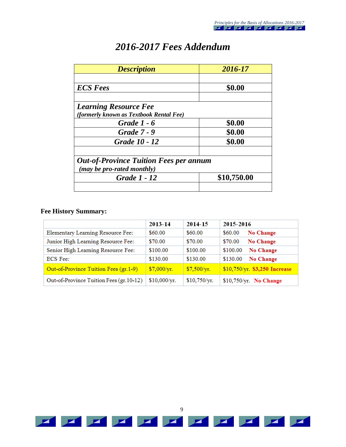| <b>Description</b>                                                          | 2016-17     |
|-----------------------------------------------------------------------------|-------------|
| <b>ECS</b> Fees                                                             | \$0.00      |
| <b>Learning Resource Fee</b><br>(formerly known as Textbook Rental Fee)     |             |
| <b>Grade 1 - 6</b>                                                          | \$0.00      |
| <b>Grade 7 - 9</b>                                                          | \$0.00      |
| Grade 10 - 12                                                               | \$0.00      |
| <b>Out-of-Province Tuition Fees per annum</b><br>(may be pro-rated monthly) |             |
| <b>Grade 1 - 12</b>                                                         | \$10,750.00 |
|                                                                             |             |

## *2016-2017 Fees Addendum*

#### **Fee History Summary:**

|                                                       | 2013-14                   | 2014-15      | 2015-2016                                   |
|-------------------------------------------------------|---------------------------|--------------|---------------------------------------------|
| Elementary Learning Resource Fee:                     | \$60.00                   | \$60.00      | $$60.00$ No Change                          |
| Junior High Learning Resource Fee:                    | \$70.00                   | \$70.00      | $$70.00$ No Change                          |
| Senior High Learning Resource Fee:                    | \$100.00                  | \$100.00     | \$100.00 No Change                          |
| <b>ECS</b> Fee:                                       | \$130.00                  | \$130.00     | \$130.00 No Change                          |
| Out-of-Province Tuition Fees (gr.1-9)                 | $\frac{1}{2}$ \$7,000/yr. |              | $$7,500/yr$ . \$10,750/yr. \$3,250 Increase |
| Out-of-Province Tuition Fees (gr. 10-12) \$10,000/yr. |                           | \$10,750/yr. | $$10,750/yr.$ No Change                     |

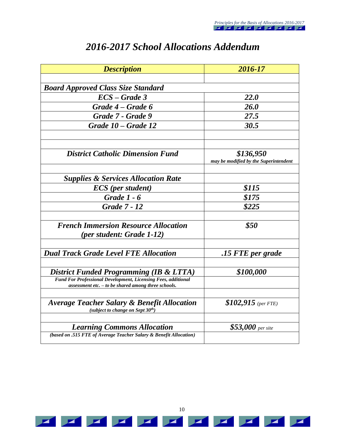| <b>Description</b>                                                                                              | 2016-17                               |
|-----------------------------------------------------------------------------------------------------------------|---------------------------------------|
|                                                                                                                 |                                       |
| <b>Board Approved Class Size Standard</b>                                                                       |                                       |
| $\mathbf{ECS}-\mathbf{Grade}$ 3                                                                                 | <b>22.0</b>                           |
| Grade 4 – Grade 6                                                                                               | 26.0                                  |
| Grade 7 - Grade 9                                                                                               | 27.5                                  |
| Grade 10 – Grade 12                                                                                             | 30.5                                  |
|                                                                                                                 |                                       |
|                                                                                                                 |                                       |
| <b>District Catholic Dimension Fund</b>                                                                         | \$136,950                             |
|                                                                                                                 | may be modified by the Superintendent |
| <b>Supplies &amp; Services Allocation Rate</b>                                                                  |                                       |
| <b>ECS</b> (per student)                                                                                        | \$115                                 |
| Grade $1 - 6$                                                                                                   | \$175                                 |
| <b>Grade 7 - 12</b>                                                                                             | \$225                                 |
|                                                                                                                 |                                       |
| <b>French Immersion Resource Allocation</b>                                                                     | \$50                                  |
| <i>(per student: Grade 1-12)</i>                                                                                |                                       |
|                                                                                                                 |                                       |
| <b>Dual Track Grade Level FTE Allocation</b>                                                                    | .15 FTE per grade                     |
|                                                                                                                 | \$100,000                             |
| District Funded Programming (IB & LTTA)<br><b>Fund For Professional Development, Licensing Fees, additional</b> |                                       |
| assessment etc. $-$ to be shared among three schools.                                                           |                                       |
|                                                                                                                 |                                       |
| <b>Average Teacher Salary &amp; Benefit Allocation</b><br>(subject to change on Sept $30th$ )                   | $$102,915$ (per FTE)                  |
|                                                                                                                 |                                       |
| <b>Learning Commons Allocation</b>                                                                              | $$53,000$ per site                    |
| (based on .515 FTE of Average Teacher Salary & Benefit Allocation)                                              |                                       |

## *2016-2017 School Allocations Addendum*